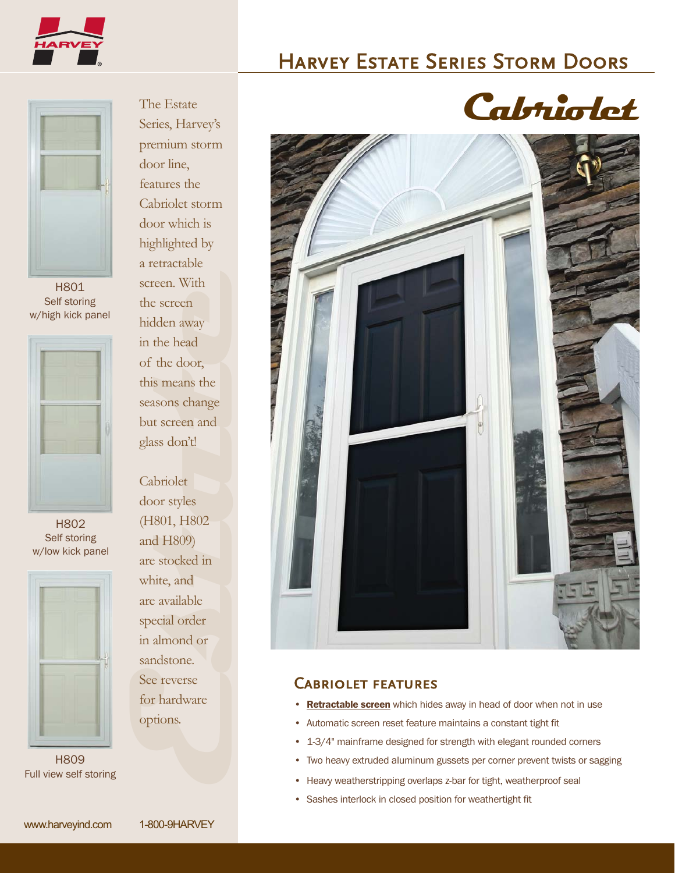

## Harvey Estate Series Storm Doors



Self storing w/high kick panel



H802 Self storing w/low kick panel



H809 Full view self storing

Series, Harvey's premium storm door line, features the Cabriolet storm door which is highlighted by a retractable screen. With the screen hidden away in the head of the door, this means the seasons change but screen and glass don't!

H801 screen. With<br>
self storing<br>
w/high kick panel<br>
in the careen<br>
hidden away<br>
in the head<br>
of the door,<br>
this means the<br>
seasons change<br>
but screen and<br>
glass don't!<br>
Cabriolet<br>
door styles<br>
H802 (H801, H802<br>
self storin Cabriolet door styles (H801, H802 and H809) are stocked in white, and are available special order in almond or sandstone. See reverse for hardware options.





## Cabriolet features

- Retractable screen which hides away in head of door when not in use
- Automatic screen reset feature maintains a constant tight fit
- 1-3/4" mainframe designed for strength with elegant rounded corners
- Two heavy extruded aluminum gussets per corner prevent twists or sagging
- Heavy weatherstripping overlaps z-bar for tight, weatherproof seal
- Sashes interlock in closed position for weathertight fit